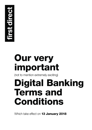

# **Our very important**

(not to mention extremely exciting)

# **Digital Banking Terms and Conditions**

Which take effect on **13 January 2018**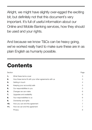Alright, we might have slightly over-egged the exciting bit, but definitely not that this document's very important. It's full of useful information about our Online and Mobile Banking services, how they should be used and your rights.

And because we know T&Cs can be heavy going, we've worked really hard to make sure these are in as plain English as humanly possible.

# **Contents**

| Section |                                                        | Page |  |
|---------|--------------------------------------------------------|------|--|
| 1.      | What these terms cover                                 | 3    |  |
| 2.      | How these terms fit with your other agreements with us |      |  |
| з.      | Getting in touch                                       |      |  |
| 4.      | Keeping your account(s) safe                           |      |  |
| 5.      | Our responsibilities to you                            | 5    |  |
| 6.      | Changes we can make                                    | 6    |  |
| 7.      | Upgrades and availability                              | 6    |  |
| 8.      | Your responsibilities to us                            | 6    |  |
| 9.      | Ownership and rights                                   |      |  |
| 10.     | How you can end this agreement                         |      |  |
| 11.     | How we can end this agreement                          |      |  |
|         | Privacy                                                | 8    |  |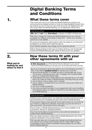# **Digital Banking Terms and Conditions**

## **1. What these terms cover**

They cover your use of our Online and Mobile Banking to access your accounts and any related services or tools we make available through them eg controls you set on how you use some accounts. By registering to use and using Online and Mobile Banking, you're agreeing to these terms.

#### Just so you know

**We**, **us** and **our** mean **first direct**, a division of HSBC UK Bank plc.

We don't charge for Online and Mobile Banking but you may be charged for making some types of payment – check your product terms for more details.

In some circumstances, taxes and/or costs may apply to you that aren't charged by us and/or aren't paid through us.

Your network operator may charge you for using the internet.

We're always looking to find ways of making what you can do through Online and Mobile Banking even easier so look out for our updates.

## **2.**

## **What you're looking for and where to find it**

## **How these terms fit with your other agreements with us**

**In this document** you'll find terms that are relevant to your use of Online and Mobile Banking to access your account(s) and other services.

But if you're looking for terms that relate to any of the following you'll find them in the relevant **product terms** for that account or service:

- terms that are specific to a certain account or service (like use of your 1st Account, a savings account, loan, mortgage, etc) including details about our charges and interest rates
- what happens and who's responsible for any payments (if you can make them) you make via Online or Mobile Banking, including if they go wrong
- how to report a lost or stolen card or cheque
- how to make a complaint about your account, service plus Online and Mobile Banking
- how your money's protected
- the courts and laws that apply to your agreements with us and anything that happens before you agree to these terms and start using our Online and Mobile Banking.

### Just so you know

Where we say 'product terms' we mean the ones that cover the accounts and services you're managing through Online and/or Mobile Banking.

The product terms cover specific terms about each of our products so if there's a difference between what they say and the terms in this document, the product terms will apply.

Some Online or Mobile Banking features may not be available on all computers, devices or operating systems.

You may not be able to access all of our accounts and services via Online and/or Mobile Banking.

We may restrict access to Online and/or Mobile Banking for any of the reasons explained in your product terms.

We may also allow you to access and manage accounts and services you have (in your name or joint names) with us, other HSBC Group companies or even outside companies where possible via our Online and/or Mobile Banking.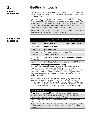## **3. Getting in touch**

We'll use the most recent postal address, email or phone numbers you've given us if we're trying to get in touch, including to tell you about changes to these terms.

We may also send you messages to your Online or Mobile Banking inbox. And if you use Mobile Banking, we may also send notifications via our App.

It's really important you tell us as soon as possible if any of your contact details change. If you don't, we might not be able to tell you about important changes we make that affect your account(s).

Just so you know, we may record other phone numbers you call us from and use them if we need to contact you urgently.

#### **How you can contact us**

|                                                               | From UK, Channel Islands<br>and Isle of Man           | From anywhere else |  |
|---------------------------------------------------------------|-------------------------------------------------------|--------------------|--|
| Phone                                                         | 03 456 100 100                                        | +44 113 234 5678   |  |
| Text-phone                                                    | 03 456 100 147                                        |                    |  |
| Online Banking                                                | firstdirect.com                                       |                    |  |
| Mobile Banking                                                | Download our App from your app store                  |                    |  |
| <b>Text Relay</b>                                             | +44 151 494 1260                                      |                    |  |
| <b>BSL Video</b><br><b>Relay Service</b>                      | For more information visit firstdirect.com/contact-us |                    |  |
| Post<br><b>first direct</b> 40 Wakefield Road, Leeds LS98 1FD |                                                       |                    |  |

#### **Sending us a message via Online Banking**

If you send us a message via Online Banking we'll always try to get back to you within 2 working days. That said, depending on what you need, this may not always be the best way to contact us eg if speed is important. If there's another part of Online Banking designed for what you need please use that to contact us eg if you want to apply for a savings account.

We're not able to deal with all requests by message eg sharedealing transactions, adjusting insurance policies etc. but we'll let you know if we can't and you can still give us a call using the details above. You also shouldn't send us a message via Online Banking to let us know about the loss or theft of cards, cheques, security details etc or to stop a cheque.

#### Just so you know

A **working day** is usually Monday to Friday (except public holidays).

Because we want to make sure we're doing a good job calls may be monitored and/or recorded, we hope you don't mind.

These terms are in English and any communications we send to you will be in English.

If you'd like this document in another format such as large print, Braille or audio please contact us using the contact details set out in your product terms.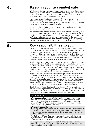## **Keeping your account(s) safe**

We'll do everything we reasonably can to stop anyone who isn't authorised accessing your accounts via Mobile and Online Banking but if you haven't taken reasonable steps to protect them yourself, we may restrict or block your access to keep you, your money and us safe.

If someone who isn't authorised, accesses (or tries to access) your account(s) through Online or Mobile Banking please call us as soon as possible. We may ask for your help and give (or ask you to give) information to the police to help us investigate this for you.

You should also look at your product terms to check what you need to do to keep your account(s) safe.

You can find more information about using Online and Mobile Banking and tips about keeping your account(s) secure on our website and in our Give me the facts brochure (if you have a 1st Account or savings account) which we'll have sent you when you opened your account. For the latest version visit **firstdirect.com/terms-and-conditions** or if you'd prefer paper, give us a call using the details on the back of these terms.

## **Our responsibilities to you**

We provide our Online and Mobile Banking (and any related tools or services) as we make them available to you and in line with these terms, so you need to make sure you use them appropriately. Where we provide tools and services, we'll take reasonable steps to make sure they work as described but you shouldn't rely entirely on them and we won't be responsible if they don't always work in the way you expect. You should check your accounts regularly to make sure any tools are working as you expect.

We'll also take reasonable steps to make sure any information we give you through Online or Mobile Banking is accurate based on what we know, or is consistent with the details we receive (where we can't confirm it's accurate because it's provided by another person or company). We'll also tell you if restrictions apply to any of the information we provide or if we're providing it on a specific basis eg if it's only accurate at a particular time.

As you'd expect, we'll also take reasonable steps to make sure our Online and Mobile Banking are safe, secure and don't contain viruses or other malicious, damaging or disruptive code. But it's worth bearing in mind that we can't guarantee the safety of your computer, device or any digital content on them (eg your data or software) so you also need to take reasonable steps to protect them eg keeping your device operating system up to date and using up to date anti-virus, anti-spyware and firewall software.

Our Online and Mobile Banking will be available 24-7-365 except as we've set out under 'Upgrades and availability' (see section 7). If you can't access your accounts this way you'll still be able to talk to us by phone so we won't be liable to you if our Online or Mobile Banking aren't available.

#### Just so you know

**We're responsible** if you suffer loss and/or damage to your data, software, device, digital content and/or other equipment if we don't follow the standards we've set ourselves in these terms for keeping Online and Mobile Banking safe, secure and free from viruses, or other malicious, damaging or disruptive code.

- **We aren't responsible** for:<br>• any equipment, software or user documentation which someone other<br>• than us has produced for use with Online and/or Mobile Banking
- any service you use to access our Online or Mobile Banking that we don't control.

Our Online and Mobile Banking are designed to be used in the UK so if you choose to use them abroad, we aren't responsible if they don't operate in line with local laws.

We may restrict or block your access to Online and Mobile Banking if you try to access them from a country that's subject to sanctions, even if you're only there for a short time.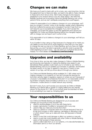## **Changes we can make**

We hope you'll want to bank with us for a (very, very, very) long time. And as this agreement has no fixed end date, we need to be able to make changes to these terms from time to time. We'll make changes for the reasons explained in your product terms or for any other reason. We need this flexibility because we're providing Online and Mobile Banking over a long period of time, and we can't anticipate everything that could happen.

Unless it's reasonable of us to believe a change is to your advantage, we'll give you at least 2 months' notice of all changes, explain what's happening and how it affects the service we're changing. If we don't hear from you, we'll assume you've accepted the change(s). If you don't accept the change(s), you'll have the option to end this agreement and cancel your registration for Online and Mobile Banking before the change(s) happen with no charge, but we hope it won't come to that.

If it's reasonable of us to believe a change is to your advantage, we'll tell you within 30 days.

If you'd prefer to stop using our App because of a change we've made you can delete it at any time but it's worth bearing in mind that you may need to change the way you log-on to Online Banking, eg if you have our Digital Secure Key, you won't be able to generate a security code to access full Online Banking but don't worry – we can send you a physical Secure Key instead. For more details visit **firstdirect.com/securekey**

## **Upgrades and availability**

From time to time, we may also make changes to Online or Mobile Banking eg introducing new features or making the existing ones easier to use. Sometimes these updates could mean you're not able to use Online or Mobile Banking until you've updated your browser or software, downloaded the latest version of our App or agreed to new terms. If there's a new version of our App, we'll let you know about it through your device.

Our Online and Mobile Banking will be available 24-7-365 unless we're making changes to our systems or if we can't provide the services for technical, security, legal or regulatory reasons or where we can't because of unusual or unavoidable circumstances that aren't in our reasonable control, eg another company stops providing a service to us, or your internet connection, mobile device or mobile network stop working.

But don't worry, if you can't access your accounts via Online or Mobile Banking you'll still be able to speak to a highly skilled and very friendly person on the phone 24-7-365 so you should never be stranded not able to do something if you need us. Amazing right?

**8.** 

**7.** 

## **Your responsibilities to us**

Our Online and Mobile Banking are designed for you to access and manage your accounts so they shouldn't be:

- used for anything illegal or not in line with these terms
- copied, reproduced, modified or tampered with in any way
- used to help you make any income from them
- used on a device or computer which isn't secure because it has (or is at risk from) viruses or other malicious, damaging or disruptive code or which doesn't have up to date anti-virus, anti-spyware or firewall software
- used in a way that could damage or affect our systems or security
- used in a way that could interfere with other Online or Mobile Banking users or their access to these services
- used to collect data from us or our systems, or to decode/translate any information sent to or from our servers.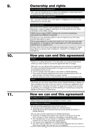## **Ownership and rights**

#### Can we transfer this agreement?

Yes – we can transfer all of our rights and obligations under these terms to another provider. We'll tell you if we do this.

#### Can you transfer this agreement?

No – you can't transfer any of the rights or obligations you have under these terms to anyone else.

#### Just so you know

All content and material made available through Online and Mobile Banking or used to create it, belongs to (or is licensed to) us or other members of the HSBC Group.

HSBC Group means HSBC Holdings plc and all its subsidiaries, associated and affiliated companies.

We give you non-exclusive rights to use our App but you can't give anyone else rights to use it.

We're responsible for our App and what's in it. Your app store provider eg Apple Inc. or Google Inc. isn't responsible for it or for providing any maintenance or support for it.

iPhone, iPad, iPod Touch and Apple are trademarks of Apple Inc. Apple App Store is a service mark of Apple Inc. Android™ is a trademark of Google Inc.

## **How you can end this agreement 10.**

#### When?

There is a 'cooling-off period' of 14 days after you receive these terms where you have a right to cancel this agreement free of charge.

After that, you can still end this agreement and cancel your registration for Online and Mobile Banking free of charge at any time but it's worth remembering that if you do:

- you'll no longer have the right to use Online or Mobile Banking
- if you were receiving statements and other correspondence from us electronically, we'll send these on paper instead
- we may close accounts or services that can only be accessed online.

#### How?

Obviously you can stop using Online and/or Mobile Banking or delete our App yourself at any time, but if you want to cancel your registration (and this agreement, including in the first 14 days), you'll need to let us know by sending us a message via Online Banking or contacting us using the details on the back of these terms.

## **11.**

## **How we can end this agreement**

### By telling you in advance

We'll contact you and give you at least 2 months' notice.

#### Not telling you in advance

We can end this agreement at any time if you've:

- seriously and/or regularly broken any of these terms
- closed all accounts or services that can be accessed via Online or Mobile Banking.

We can also end the agreement for Mobile Banking if:

- we know or believe your device isn't secure or it has (or it's at risk from) viruses or other malicious, damaging or disruptive code
- the manufacturer of your device or operating system withdraws their support for our App or we stop supporting it
- 
- you cancel your registration for Online Banking you don't use our App for 12 months (if this happens and you want to start using it again we may ask you to reregister).